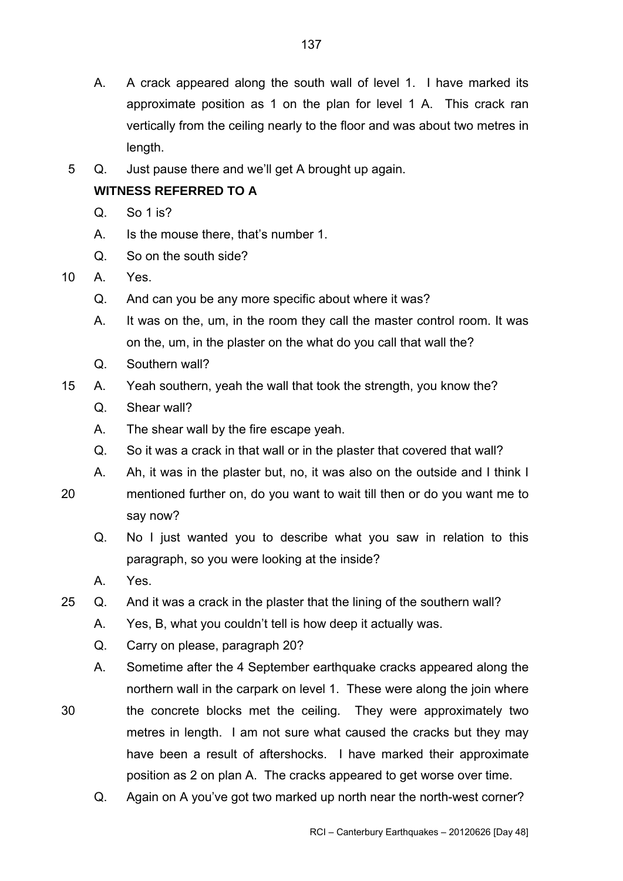- A. A crack appeared along the south wall of level 1. I have marked its approximate position as 1 on the plan for level 1 A. This crack ran vertically from the ceiling nearly to the floor and was about two metres in length.
- 5 Q. Just pause there and we'll get A brought up again.

# **WITNESS REFERRED TO A**

- $Q_{\text{SO}}$  So 1 is?
- A. Is the mouse there, that's number 1.
- Q. So on the south side?
- 10 A. Yes.
	- Q. And can you be any more specific about where it was?
	- A. It was on the, um, in the room they call the master control room. It was on the, um, in the plaster on the what do you call that wall the?
	- Q. Southern wall?
- 15 A. Yeah southern, yeah the wall that took the strength, you know the?
	- Q. Shear wall?
	- A. The shear wall by the fire escape yeah.
	- Q. So it was a crack in that wall or in the plaster that covered that wall?
	- A. Ah, it was in the plaster but, no, it was also on the outside and I think I
- mentioned further on, do you want to wait till then or do you want me to say now? 20
	- Q. No I just wanted you to describe what you saw in relation to this paragraph, so you were looking at the inside?
	- A. Yes.
- 25 Q. And it was a crack in the plaster that the lining of the southern wall?
	- A. Yes, B, what you couldn't tell is how deep it actually was.
	- Q. Carry on please, paragraph 20?
	- A. Sometime after the 4 September earthquake cracks appeared along the northern wall in the carpark on level 1. These were along the join where
- 30 the concrete blocks met the ceiling. They were approximately two metres in length. I am not sure what caused the cracks but they may have been a result of aftershocks. I have marked their approximate position as 2 on plan A. The cracks appeared to get worse over time.
	- Q. Again on A you've got two marked up north near the north-west corner?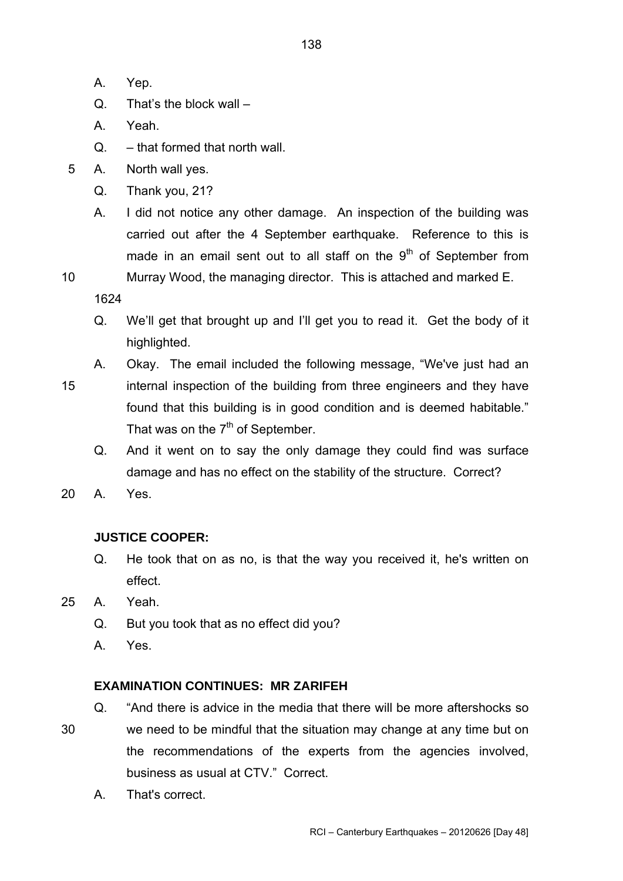- A. Yep.
- Q. That's the block wall –
- A. Yeah.
- Q. that formed that north wall.
- 5 A. North wall yes.
	- Q. Thank you, 21?
	- A. I did not notice any other damage. An inspection of the building was carried out after the 4 September earthquake. Reference to this is made in an email sent out to all staff on the  $9<sup>th</sup>$  of September from
- 

10 Murray Wood, the managing director. This is attached and marked E.

1624

- Q. We'll get that brought up and I'll get you to read it. Get the body of it highlighted.
- 15 A. Okay. The email included the following message, "We've just had an internal inspection of the building from three engineers and they have found that this building is in good condition and is deemed habitable."
	- Q. And it went on to say the only damage they could find was surface damage and has no effect on the stability of the structure. Correct?
- 20 A. Yes.

# **JUSTICE COOPER:**

- Q. He took that on as no, is that the way you received it, he's written on effect.
- 25 A. Yeah.
	- Q. But you took that as no effect did you?

That was on the  $7<sup>th</sup>$  of September.

A. Yes.

# **EXAMINATION CONTINUES: MR ZARIFEH**

- 30 Q. "And there is advice in the media that there will be more aftershocks so we need to be mindful that the situation may change at any time but on the recommendations of the experts from the agencies involved, business as usual at CTV." Correct.
	- A. That's correct.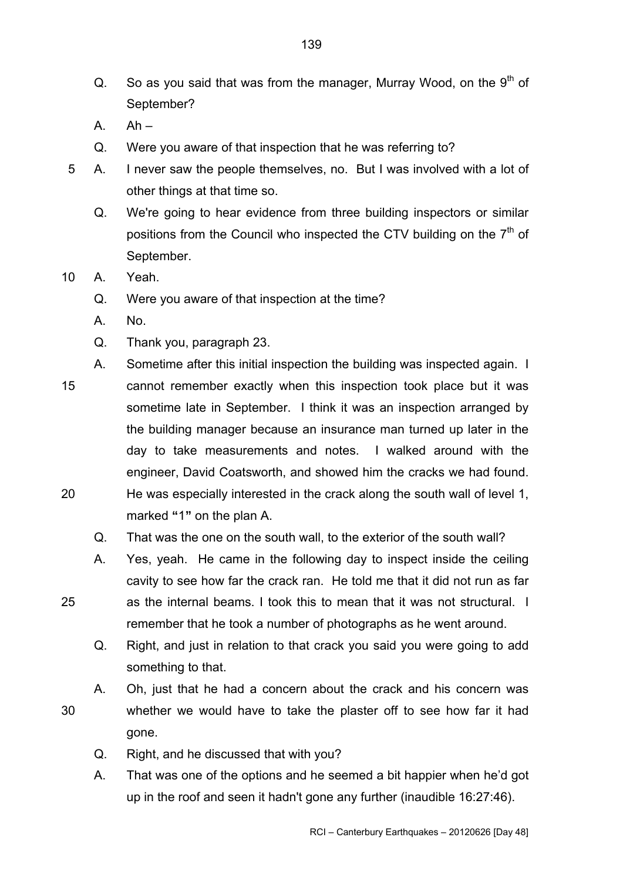- Q. So as you said that was from the manager, Murray Wood, on the  $9<sup>th</sup>$  of September?
- $A.$   $Ah -$
- Q. Were you aware of that inspection that he was referring to?
- 5 A. I never saw the people themselves, no. But I was involved with a lot of other things at that time so.
	- Q. We're going to hear evidence from three building inspectors or similar positions from the Council who inspected the CTV building on the  $7<sup>th</sup>$  of September.
- 10 A. Yeah.
	- Q. Were you aware of that inspection at the time?
	- A. No.
	- Q. Thank you, paragraph 23.
- A. Sometime after this initial inspection the building was inspected again. I cannot remember exactly when this inspection took place but it was sometime late in September. I think it was an inspection arranged by the building manager because an insurance man turned up later in the day to take measurements and notes. I walked around with the engineer, David Coatsworth, and showed him the cracks we had found. He was especially interested in the crack along the south wall of level 1, marked **"**1**"** on the plan A. 15 20
	- Q. That was the one on the south wall, to the exterior of the south wall?
	- A. Yes, yeah. He came in the following day to inspect inside the ceiling cavity to see how far the crack ran. He told me that it did not run as far as the internal beams. I took this to mean that it was not structural. I remember that he took a number of photographs as he went around.
		- Q. Right, and just in relation to that crack you said you were going to add something to that.
	- A. Oh, just that he had a concern about the crack and his concern was whether we would have to take the plaster off to see how far it had gone.
		- Q. Right, and he discussed that with you?
		- A. That was one of the options and he seemed a bit happier when he'd got up in the roof and seen it hadn't gone any further (inaudible 16:27:46).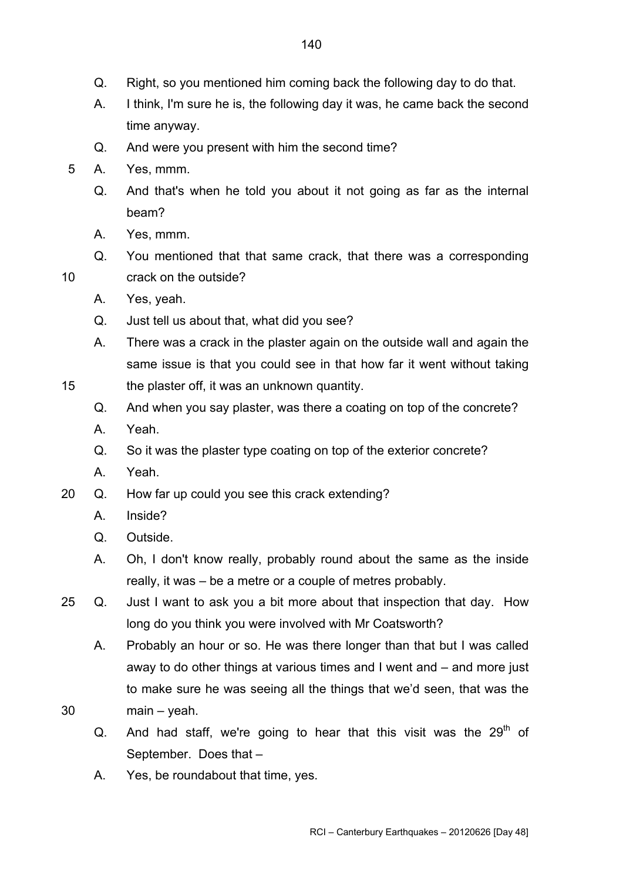- Q. Right, so you mentioned him coming back the following day to do that.
- A. I think, I'm sure he is, the following day it was, he came back the second time anyway.
- Q. And were you present with him the second time?
- 5 A. Yes, mmm.
	- Q. And that's when he told you about it not going as far as the internal beam?
	- A. Yes, mmm.
- Q. You mentioned that that same crack, that there was a corresponding 10 crack on the outside?
	- A. Yes, yeah.
	- Q. Just tell us about that, what did you see?
	- A. There was a crack in the plaster again on the outside wall and again the same issue is that you could see in that how far it went without taking the plaster off, it was an unknown quantity.
	- Q. And when you say plaster, was there a coating on top of the concrete?
	- A. Yeah.
	- Q. So it was the plaster type coating on top of the exterior concrete?
	- A. Yeah.
- 20 Q. How far up could you see this crack extending?
	- A. Inside?
	- Q. Outside.
	- A. Oh, I don't know really, probably round about the same as the inside really, it was – be a metre or a couple of metres probably.
- 25 Q. Just I want to ask you a bit more about that inspection that day. How long do you think you were involved with Mr Coatsworth?
	- A. Probably an hour or so. He was there longer than that but I was called away to do other things at various times and I went and – and more just to make sure he was seeing all the things that we'd seen, that was the main – yeah.
- 30

- Q. And had staff, we're going to hear that this visit was the  $29<sup>th</sup>$  of September. Does that –
- A. Yes, be roundabout that time, yes.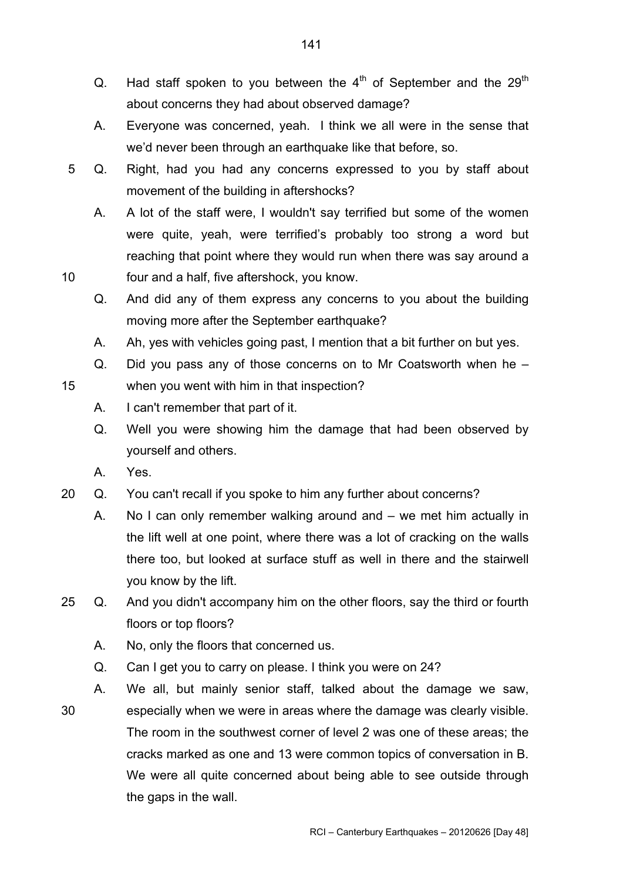- Q. Had staff spoken to you between the  $4<sup>th</sup>$  of September and the 29<sup>th</sup> about concerns they had about observed damage?
- A. Everyone was concerned, yeah. I think we all were in the sense that we'd never been through an earthquake like that before, so.
- 5 Q. Right, had you had any concerns expressed to you by staff about movement of the building in aftershocks?
- A. A lot of the staff were, I wouldn't say terrified but some of the women were quite, yeah, were terrified's probably too strong a word but reaching that point where they would run when there was say around a 10 four and a half, five aftershock, you know.
	- Q. And did any of them express any concerns to you about the building moving more after the September earthquake?
	- A. Ah, yes with vehicles going past, I mention that a bit further on but yes.
	- Q. Did you pass any of those concerns on to Mr Coatsworth when he when you went with him in that inspection?
	- A. I can't remember that part of it.
	- Q. Well you were showing him the damage that had been observed by yourself and others.
	- A. Yes.
- 20 Q. You can't recall if you spoke to him any further about concerns?
	- A. No I can only remember walking around and we met him actually in the lift well at one point, where there was a lot of cracking on the walls there too, but looked at surface stuff as well in there and the stairwell you know by the lift.
- 25 Q. And you didn't accompany him on the other floors, say the third or fourth floors or top floors?
	- A. No, only the floors that concerned us.
	- Q. Can I get you to carry on please. I think you were on 24?
- 30 A. We all, but mainly senior staff, talked about the damage we saw, especially when we were in areas where the damage was clearly visible. The room in the southwest corner of level 2 was one of these areas; the cracks marked as one and 13 were common topics of conversation in B. We were all quite concerned about being able to see outside through the gaps in the wall.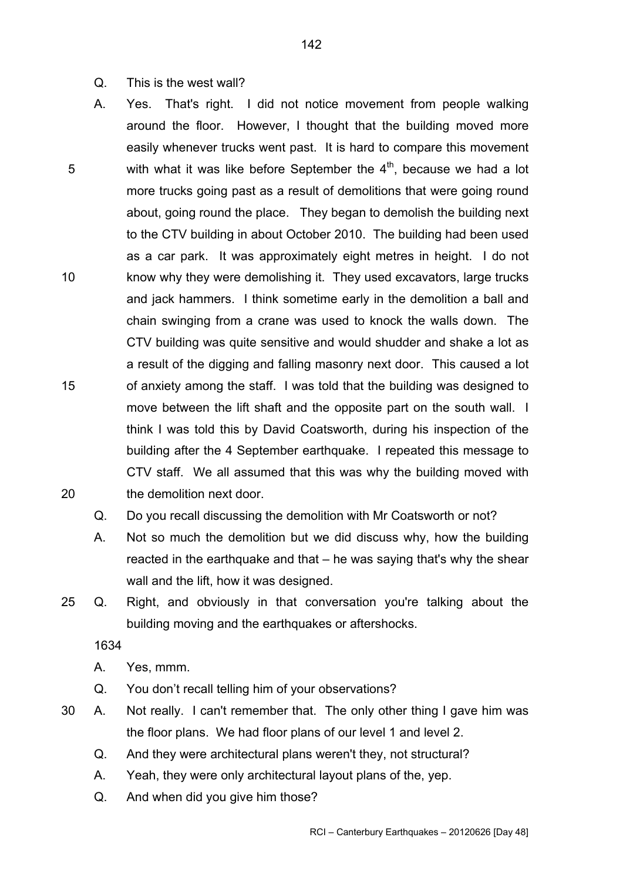- Q. This is the west wall?
- A. Yes. That's right. I did not notice movement from people walking around the floor. However, I thought that the building moved more easily whenever trucks went past. It is hard to compare this movement with what it was like before September the  $4<sup>th</sup>$ , because we had a lot more trucks going past as a result of demolitions that were going round about, going round the place. They began to demolish the building next to the CTV building in about October 2010. The building had been used as a car park. It was approximately eight metres in height. I do not know why they were demolishing it. They used excavators, large trucks and jack hammers. I think sometime early in the demolition a ball and chain swinging from a crane was used to knock the walls down. The CTV building was quite sensitive and would shudder and shake a lot as a result of the digging and falling masonry next door. This caused a lot of anxiety among the staff. I was told that the building was designed to move between the lift shaft and the opposite part on the south wall. I think I was told this by David Coatsworth, during his inspection of the building after the 4 September earthquake. I repeated this message to CTV staff. We all assumed that this was why the building moved with the demolition next door. 5 10 15 20
	- Q. Do you recall discussing the demolition with Mr Coatsworth or not?
	- A. Not so much the demolition but we did discuss why, how the building reacted in the earthquake and that – he was saying that's why the shear wall and the lift, how it was designed.
- 25 Q. Right, and obviously in that conversation you're talking about the building moving and the earthquakes or aftershocks.

- A. Yes, mmm.
- Q. You don't recall telling him of your observations?
- 30 A. Not really. I can't remember that. The only other thing I gave him was the floor plans. We had floor plans of our level 1 and level 2.
	- Q. And they were architectural plans weren't they, not structural?
	- A. Yeah, they were only architectural layout plans of the, yep.
	- Q. And when did you give him those?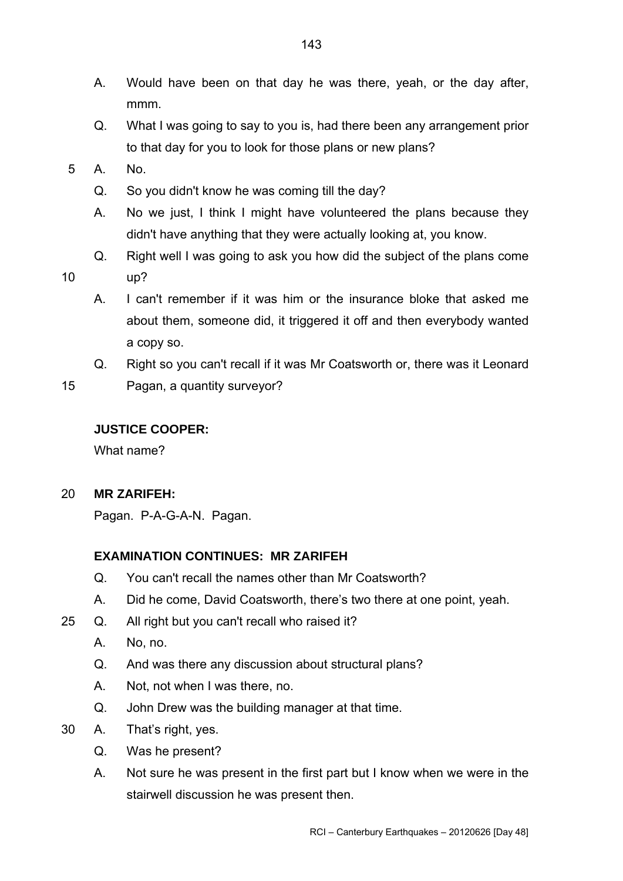- A. Would have been on that day he was there, yeah, or the day after, mmm.
- Q. What I was going to say to you is, had there been any arrangement prior to that day for you to look for those plans or new plans?
- 5 A. No.
	- Q. So you didn't know he was coming till the day?
	- A. No we just, I think I might have volunteered the plans because they didn't have anything that they were actually looking at, you know.
	- Q. Right well I was going to ask you how did the subject of the plans come

- 10 up?
	- A. I can't remember if it was him or the insurance bloke that asked me about them, someone did, it triggered it off and then everybody wanted a copy so.
	- Q. Right so you can't recall if it was Mr Coatsworth or, there was it Leonard
- 15 Pagan, a quantity surveyor?

# **JUSTICE COOPER:**

What name?

20 **MR ZARIFEH:** 

Pagan. P-A-G-A-N. Pagan.

# **EXAMINATION CONTINUES: MR ZARIFEH**

- Q. You can't recall the names other than Mr Coatsworth?
- A. Did he come, David Coatsworth, there's two there at one point, yeah.
- 25 Q. All right but you can't recall who raised it?
	- A. No, no.
	- Q. And was there any discussion about structural plans?
	- A. Not, not when I was there, no.
	- Q. John Drew was the building manager at that time.
- 30 A. That's right, yes.
	- Q. Was he present?
	- A. Not sure he was present in the first part but I know when we were in the stairwell discussion he was present then.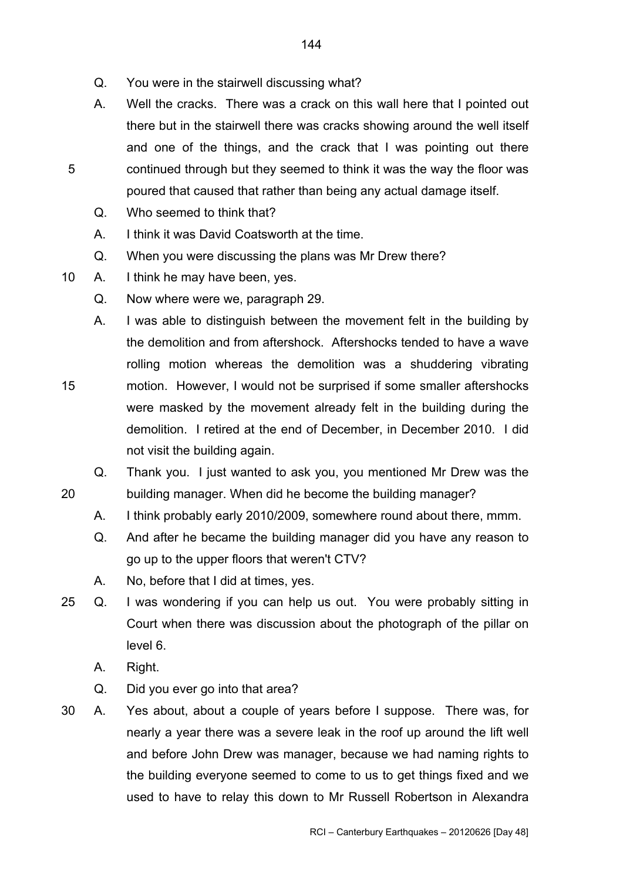- Q. You were in the stairwell discussing what?
- A. Well the cracks. There was a crack on this wall here that I pointed out there but in the stairwell there was cracks showing around the well itself and one of the things, and the crack that I was pointing out there continued through but they seemed to think it was the way the floor was poured that caused that rather than being any actual damage itself.
- Q. Who seemed to think that?
- A. I think it was David Coatsworth at the time.
- Q. When you were discussing the plans was Mr Drew there?
- 10 A. I think he may have been, yes.
	- Q. Now where were we, paragraph 29.
	- A. I was able to distinguish between the movement felt in the building by the demolition and from aftershock. Aftershocks tended to have a wave rolling motion whereas the demolition was a shuddering vibrating
- 15 motion. However, I would not be surprised if some smaller aftershocks were masked by the movement already felt in the building during the demolition. I retired at the end of December, in December 2010. I did not visit the building again.
	- Q. Thank you. I just wanted to ask you, you mentioned Mr Drew was the building manager. When did he become the building manager?
		- A. I think probably early 2010/2009, somewhere round about there, mmm.
		- Q. And after he became the building manager did you have any reason to go up to the upper floors that weren't CTV?
		- A. No, before that I did at times, yes.
- 25 Q. I was wondering if you can help us out. You were probably sitting in Court when there was discussion about the photograph of the pillar on level 6.
	- A. Right.
	- Q. Did you ever go into that area?
- 30 A. Yes about, about a couple of years before I suppose. There was, for nearly a year there was a severe leak in the roof up around the lift well and before John Drew was manager, because we had naming rights to the building everyone seemed to come to us to get things fixed and we used to have to relay this down to Mr Russell Robertson in Alexandra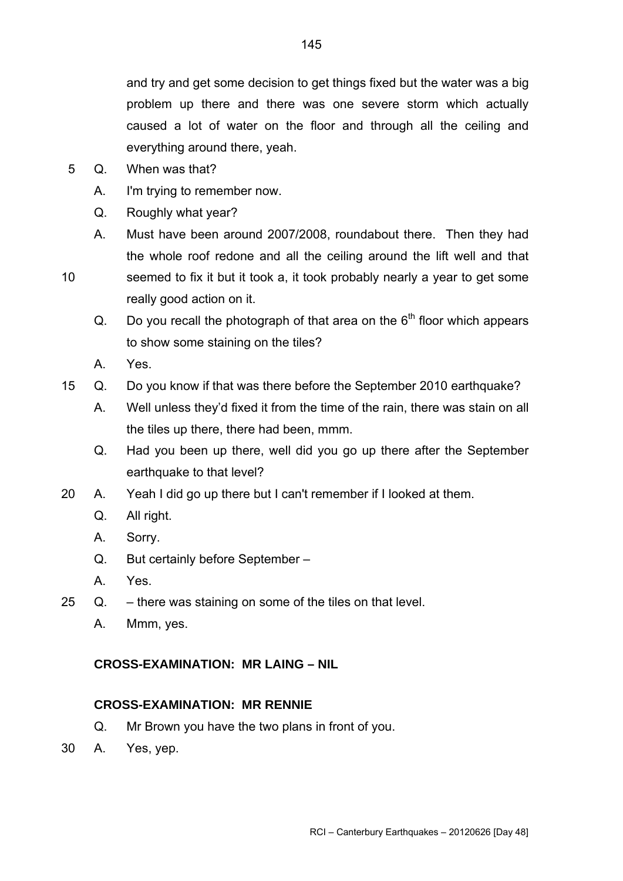and try and get some decision to get things fixed but the water was a big problem up there and there was one severe storm which actually caused a lot of water on the floor and through all the ceiling and everything around there, yeah.

- 5 Q. When was that?
	- A. I'm trying to remember now.
	- Q. Roughly what year?
	- A. Must have been around 2007/2008, roundabout there. Then they had the whole roof redone and all the ceiling around the lift well and that
- 10
- seemed to fix it but it took a, it took probably nearly a year to get some really good action on it.
- Q. Do you recall the photograph of that area on the  $6<sup>th</sup>$  floor which appears to show some staining on the tiles?
- A. Yes.
- 15 Q. Do you know if that was there before the September 2010 earthquake?
	- A. Well unless they'd fixed it from the time of the rain, there was stain on all the tiles up there, there had been, mmm.
	- Q. Had you been up there, well did you go up there after the September earthquake to that level?
- 20 A. Yeah I did go up there but I can't remember if I looked at them.
	- Q. All right.
	- A. Sorry.
	- Q. But certainly before September –
	- A. Yes.
- <span id="page-144-0"></span>25 Q. – there was staining on some of the tiles on that level.
	- A. Mmm, yes.

# **CROSS-EXAMINATION: MR LAING – NIL**

## **CROSS-EXAMINATION: MR RENNIE**

- Q. Mr Brown you have the two plans in front of you.
- <span id="page-144-1"></span>30 A. Yes, yep.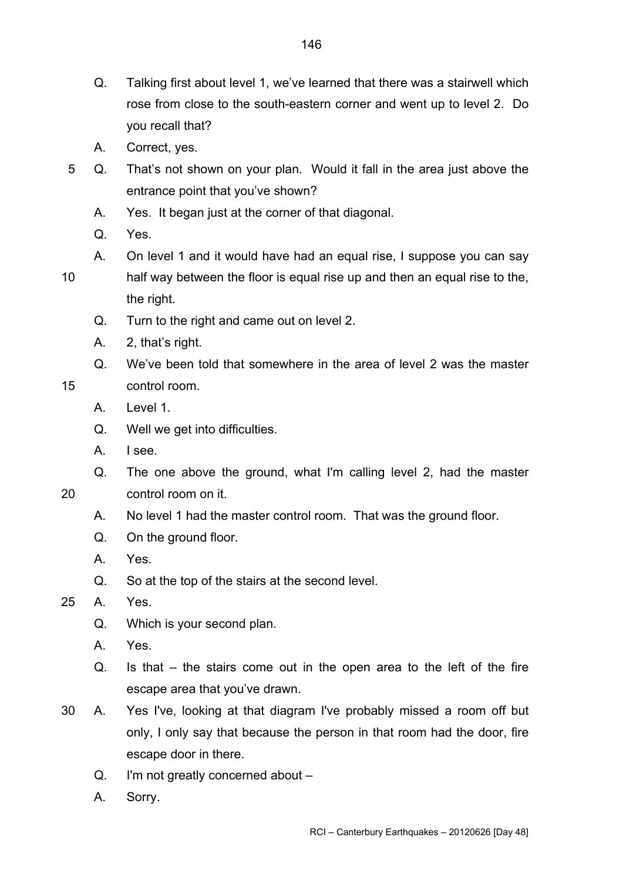- Q. Talking first about level 1, we've learned that there was a stairwell which rose from close to the south-eastern corner and went up to level 2. Do you recall that?
- A. Correct, yes.
- 5 Q. That's not shown on your plan. Would it fall in the area just above the entrance point that you've shown?
	- A. Yes. It began just at the corner of that diagonal.
	- Q. Yes.
	- A. On level 1 and it would have had an equal rise, I suppose you can say
- half way between the floor is equal rise up and then an equal rise to the, the right. 10
	- Q. Turn to the right and came out on level 2.
	- A. 2, that's right.
	- Q. We've been told that somewhere in the area of level 2 was the master control room.
	- A. Level 1.

15

- Q. Well we get into difficulties.
- A. I see.
- Q. The one above the ground, what I'm calling level 2, had the master

20 control room on it.

- A. No level 1 had the master control room. That was the ground floor.
- Q. On the ground floor.
- A. Yes.
- Q. So at the top of the stairs at the second level.
- 25 A. Yes.
	- Q. Which is your second plan.
	- A. Yes.
	- Q. Is that the stairs come out in the open area to the left of the fire escape area that you've drawn.
- 30 A. Yes I've, looking at that diagram I've probably missed a room off but only, I only say that because the person in that room had the door, fire escape door in there.
	- Q. I'm not greatly concerned about –
	- A. Sorry.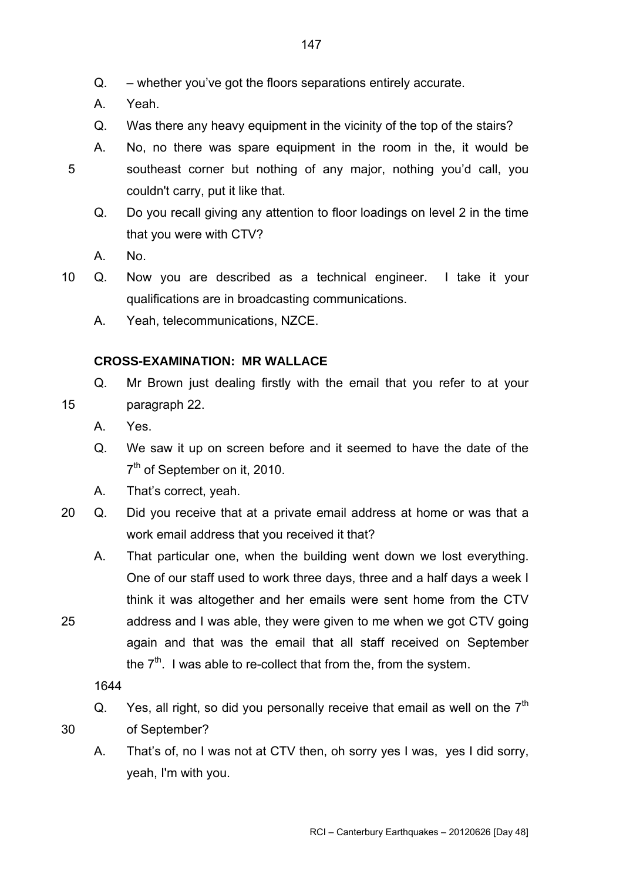- Q. whether you've got the floors separations entirely accurate.
- A. Yeah.
- Q. Was there any heavy equipment in the vicinity of the top of the stairs?
- A. No, no there was spare equipment in the room in the, it would be southeast corner but nothing of any major, nothing you'd call, you couldn't carry, put it like that.
	- Q. Do you recall giving any attention to floor loadings on level 2 in the time that you were with CTV?
	- A. No.

5

<span id="page-146-0"></span>15

- 10 Q. Now you are described as a technical engineer. I take it your qualifications are in broadcasting communications.
	- A. Yeah, telecommunications, NZCE.

## **CROSS-EXAMINATION: MR WALLACE**

- Q. Mr Brown just dealing firstly with the email that you refer to at your paragraph 22.
	- A. Yes.
	- Q. We saw it up on screen before and it seemed to have the date of the 7<sup>th</sup> of September on it, 2010.
	- A. That's correct, yeah.
- 20 Q. Did you receive that at a private email address at home or was that a work email address that you received it that?
	- A. That particular one, when the building went down we lost everything. One of our staff used to work three days, three and a half days a week I think it was altogether and her emails were sent home from the CTV address and I was able, they were given to me when we got CTV going again and that was the email that all staff received on September the  $7<sup>th</sup>$ . I was able to re-collect that from the, from the system.

1644

Q. Yes, all right, so did you personally receive that email as well on the  $7<sup>th</sup>$ of September?

30

25

A. That's of, no I was not at CTV then, oh sorry yes I was, yes I did sorry, yeah, I'm with you.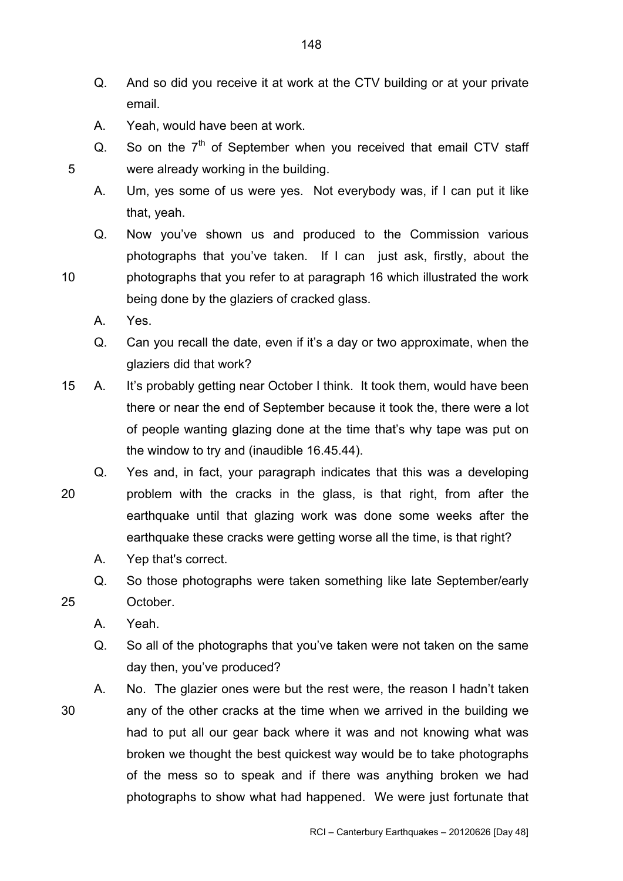- Q. And so did you receive it at work at the CTV building or at your private email.
- A. Yeah, would have been at work.
- Q. So on the  $7<sup>th</sup>$  of September when you received that email CTV staff 5 were already working in the building.
	- A. Um, yes some of us were yes. Not everybody was, if I can put it like that, yeah.
	- Q. Now you've shown us and produced to the Commission various photographs that you've taken. If I can just ask, firstly, about the photographs that you refer to at paragraph 16 which illustrated the work
- being done by the glaziers of cracked glass.
	- A. Yes.
	- Q. Can you recall the date, even if it's a day or two approximate, when the glaziers did that work?
- 15 A. It's probably getting near October I think. It took them, would have been there or near the end of September because it took the, there were a lot of people wanting glazing done at the time that's why tape was put on the window to try and (inaudible 16.45.44).
- 20 Q. Yes and, in fact, your paragraph indicates that this was a developing problem with the cracks in the glass, is that right, from after the earthquake until that glazing work was done some weeks after the earthquake these cracks were getting worse all the time, is that right?
	- A. Yep that's correct.
	- Q. So those photographs were taken something like late September/early October.
	- A. Yeah.

25

- Q. So all of the photographs that you've taken were not taken on the same day then, you've produced?
- 30 A. No. The glazier ones were but the rest were, the reason I hadn't taken any of the other cracks at the time when we arrived in the building we had to put all our gear back where it was and not knowing what was broken we thought the best quickest way would be to take photographs of the mess so to speak and if there was anything broken we had photographs to show what had happened. We were just fortunate that

10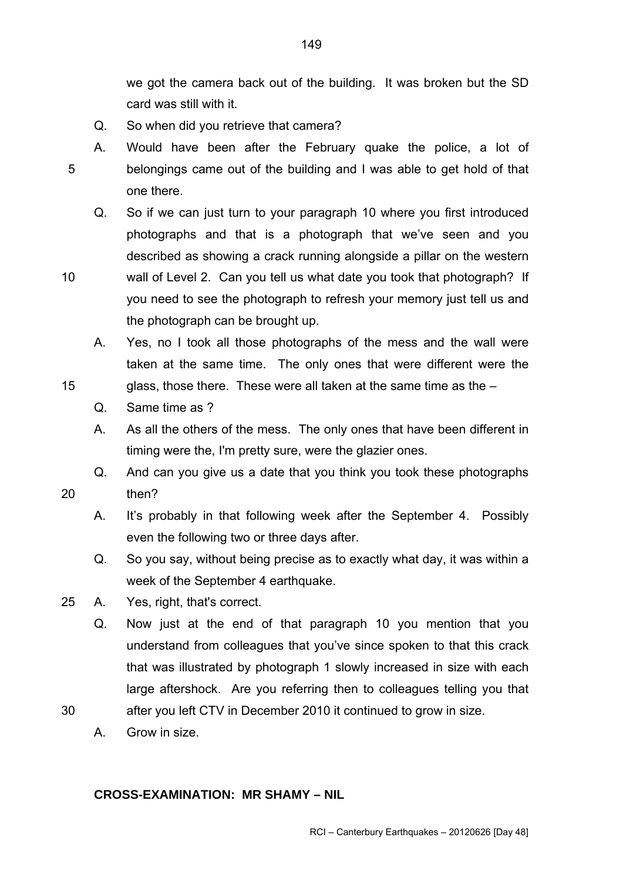we got the camera back out of the building. It was broken but the SD card was still with it.

- Q. So when did you retrieve that camera?
- A. Would have been after the February quake the police, a lot of belongings came out of the building and I was able to get hold of that one there. 5
	- Q. So if we can just turn to your paragraph 10 where you first introduced photographs and that is a photograph that we've seen and you described as showing a crack running alongside a pillar on the western
- 10 wall of Level 2. Can you tell us what date you took that photograph? If you need to see the photograph to refresh your memory just tell us and the photograph can be brought up.
	- A. Yes, no I took all those photographs of the mess and the wall were taken at the same time. The only ones that were different were the
	- glass, those there. These were all taken at the same time as the  $-$ 
		- Q. Same time as ?

15

20

- A. As all the others of the mess. The only ones that have been different in timing were the, I'm pretty sure, were the glazier ones.
- Q. And can you give us a date that you think you took these photographs then?
	- A. It's probably in that following week after the September 4. Possibly even the following two or three days after.
	- Q. So you say, without being precise as to exactly what day, it was within a week of the September 4 earthquake.
- 25 A. Yes, right, that's correct.
	- Q. Now just at the end of that paragraph 10 you mention that you understand from colleagues that you've since spoken to that this crack that was illustrated by photograph 1 slowly increased in size with each large aftershock. Are you referring then to colleagues telling you that
- 30 after you left CTV in December 2010 it continued to grow in size.
	- A. Grow in size.

# <span id="page-148-0"></span>**CROSS-EXAMINATION: MR SHAMY – NIL**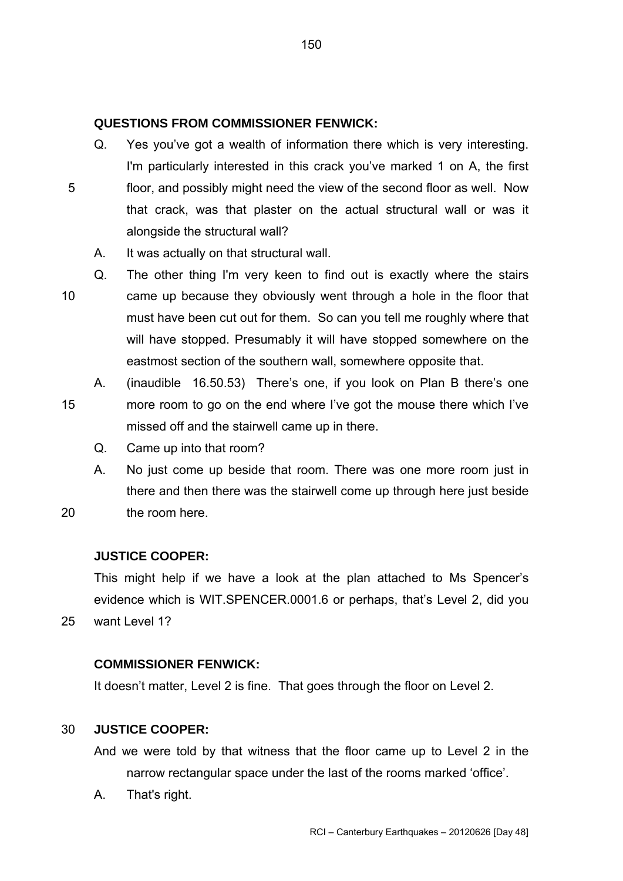# **QUESTIONS FROM COMMISSIONER FENWICK:**

- Q. Yes you've got a wealth of information there which is very interesting. I'm particularly interested in this crack you've marked 1 on A, the first
- <span id="page-149-0"></span>floor, and possibly might need the view of the second floor as well. Now that crack, was that plaster on the actual structural wall or was it alongside the structural wall? 5
	- A. It was actually on that structural wall.
- 10 Q. The other thing I'm very keen to find out is exactly where the stairs came up because they obviously went through a hole in the floor that must have been cut out for them. So can you tell me roughly where that will have stopped. Presumably it will have stopped somewhere on the eastmost section of the southern wall, somewhere opposite that.
- 15 A. (inaudible 16.50.53) There's one, if you look on Plan B there's one more room to go on the end where I've got the mouse there which I've missed off and the stairwell came up in there.
	- Q. Came up into that room?
	- A. No just come up beside that room. There was one more room just in there and then there was the stairwell come up through here just beside the room here.

#### **JUSTICE COOPER:**

20

25

This might help if we have a look at the plan attached to Ms Spencer's evidence which is WIT.SPENCER.0001.6 or perhaps, that's Level 2, did you want Level 1?

## **COMMISSIONER FENWICK:**

It doesn't matter, Level 2 is fine. That goes through the floor on Level 2.

#### 30 **JUSTICE COOPER:**

And we were told by that witness that the floor came up to Level 2 in the narrow rectangular space under the last of the rooms marked 'office'.

A. That's right.